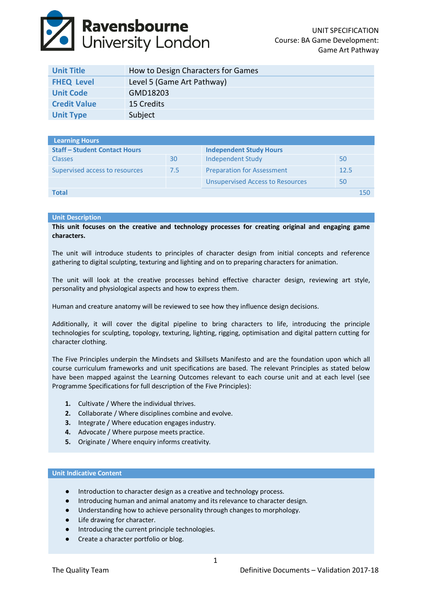# **Ravensbourne**<br>University London

| <b>Unit Title</b>   | How to Design Characters for Games |
|---------------------|------------------------------------|
| <b>FHEQ Level</b>   | Level 5 (Game Art Pathway)         |
| <b>Unit Code</b>    | GMD18203                           |
| <b>Credit Value</b> | 15 Credits                         |
| <b>Unit Type</b>    | Subject                            |

| <b>Learning Hours</b>                |     |                                         |      |     |
|--------------------------------------|-----|-----------------------------------------|------|-----|
| <b>Staff - Student Contact Hours</b> |     | <b>Independent Study Hours</b>          |      |     |
| <b>Classes</b>                       | 30  | Independent Study                       | 50   |     |
| Supervised access to resources       | 7.5 | <b>Preparation for Assessment</b>       | 12.5 |     |
|                                      |     | <b>Unsupervised Access to Resources</b> | 50   |     |
| Total                                |     |                                         |      | 150 |

# **Unit Description**

**This unit focuses on the creative and technology processes for creating original and engaging game characters.**

The unit will introduce students to principles of character design from initial concepts and reference gathering to digital sculpting, texturing and lighting and on to preparing characters for animation.

The unit will look at the creative processes behind effective character design, reviewing art style, personality and physiological aspects and how to express them.

Human and creature anatomy will be reviewed to see how they influence design decisions.

Additionally, it will cover the digital pipeline to bring characters to life, introducing the principle technologies for sculpting, topology, texturing, lighting, rigging, optimisation and digital pattern cutting for character clothing.

The Five Principles underpin the Mindsets and Skillsets Manifesto and are the foundation upon which all course curriculum frameworks and unit specifications are based. The relevant Principles as stated below have been mapped against the Learning Outcomes relevant to each course unit and at each level (see Programme Specifications for full description of the Five Principles):

- **1.** Cultivate / Where the individual thrives.
- **2.** Collaborate / Where disciplines combine and evolve.
- **3.** Integrate / Where education engages industry.
- **4.** Advocate / Where purpose meets practice.
- **5.** Originate / Where enquiry informs creativity.

#### **Unit Indicative Content**

- Introduction to character design as a creative and technology process.
- Introducing human and animal anatomy and its relevance to character design.
- Understanding how to achieve personality through changes to morphology.
- Life drawing for character.
- Introducing the current principle technologies.
- Create a character portfolio or blog.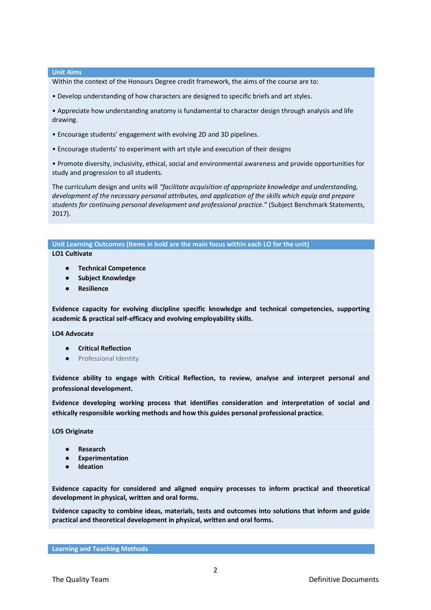#### **Unit Aims**

Within the context of the Honours Degree credit framework, the aims of the course are to:

• Develop understanding of how characters are designed to specific briefs and art styles.

• Appreciate how understanding anatomy is fundamental to character design through analysis and life drawing.

- Encourage students' engagement with evolving 2D and 3D pipelines.
- Encourage students' to experiment with art style and execution of their designs

• Promote diversity, inclusivity, ethical, social and environmental awareness and provide opportunities for study and progression to all students.

The curriculum design and units will *"facilitate acquisition of appropriate knowledge and understanding, development of the necessary personal attributes, and application of the skills which equip and prepare students for continuing personal development and professional practice."* (Subject Benchmark Statements, 2017).

**Unit Learning Outcomes (Items in bold are the main focus within each LO for the unit) LO1 Cultivate**

- **Technical Competence**
- **Subject Knowledge**
- **Resilience**

**Evidence capacity for evolving discipline specific knowledge and technical competencies, supporting academic & practical self-efficacy and evolving employability skills.**

## **LO4 Advocate**

- **Critical Reflection**
- Professional Identity

**Evidence ability to engage with Critical Reflection, to review, analyse and interpret personal and professional development.**

**Evidence developing working process that identifies consideration and interpretation of social and ethically responsible working methods and how this guides personal professional practice.**

**LO5 Originate**

- **Research**
- **Experimentation**
- **Ideation**

**Evidence capacity for considered and aligned enquiry processes to inform practical and theoretical development in physical, written and oral forms.**

**Evidence capacity to combine ideas, materials, tests and outcomes into solutions that inform and guide practical and theoretical development in physical, written and oral forms.**

**Learning and Teaching Methods**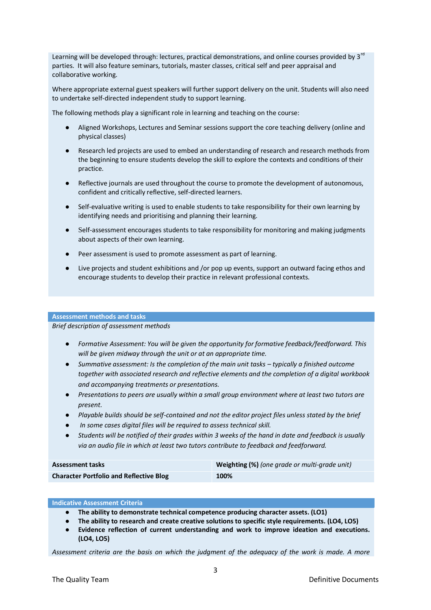Learning will be developed through: lectures, practical demonstrations, and online courses provided by 3<sup>rd</sup> parties. It will also feature seminars, tutorials, master classes, critical self and peer appraisal and collaborative working.

Where appropriate external guest speakers will further support delivery on the unit. Students will also need to undertake self‐directed independent study to support learning.

The following methods play a significant role in learning and teaching on the course:

- Aligned Workshops, Lectures and Seminar sessions support the core teaching delivery (online and physical classes)
- Research led projects are used to embed an understanding of research and research methods from the beginning to ensure students develop the skill to explore the contexts and conditions of their practice.
- Reflective journals are used throughout the course to promote the development of autonomous, confident and critically reflective, self‐directed learners.
- Self-evaluative writing is used to enable students to take responsibility for their own learning by identifying needs and prioritising and planning their learning.
- Self-assessment encourages students to take responsibility for monitoring and making judgments about aspects of their own learning.
- Peer assessment is used to promote assessment as part of learning.
- Live projects and student exhibitions and /or pop up events, support an outward facing ethos and encourage students to develop their practice in relevant professional contexts.

#### **Assessment methods and tasks**

*Brief description of assessment methods*

- *Formative Assessment: You will be given the opportunity for formative feedback/feedforward. This will be given midway through the unit or at an appropriate time.*
- **•** Summative assessment: Is the completion of the main unit tasks typically a finished outcome *together with associated research and reflective elements and the completion of a digital workbook and accompanying treatments or presentations.*
- *Presentations to peers are usually within a small group environment where at least two tutors are present.*
- *Playable builds should be self-contained and not the editor project files unless stated by the brief*
- In some cases digital files will be required to assess technical skill.
- *Students will be notified of their grades within 3 weeks of the hand in date and feedback is usually via an audio file in which at least two tutors contribute to feedback and feedforward.*

| <b>Assessment tasks</b>                        | Weighting (%) (one grade or multi-grade unit) |
|------------------------------------------------|-----------------------------------------------|
| <b>Character Portfolio and Reflective Blog</b> | 100%                                          |

## **Indicative Assessment Criteria**

- **The ability to demonstrate technical competence producing character assets. (LO1)**
- **The ability to research and create creative solutions to specific style requirements. (LO4, LO5)**
- **Evidence reflection of current understanding and work to improve ideation and executions. (LO4, LO5)**

*Assessment criteria are the basis on which the judgment of the adequacy of the work is made. A more*